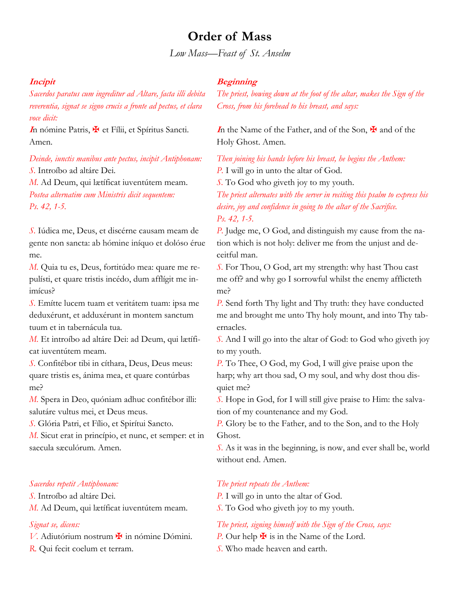# **Order of Mass**

*Low Mass—Feast of St. Anselm*

### **Incipit**

*Sacerdos paratus cum ingreditur ad Altare, facta illi debita reverentia, signat se signo crucis a fronte ad pectus, et clara voce dicit:*

In nómine Patris,  $\mathbf{\nabla}$  et Fílii, et Spíritus Sancti. Amen.

*Deinde, iunctis manibus ante pectus, incipit Antiphonam: S.* Introíbo ad altáre Dei.

*M.* Ad Deum, qui lætíficat iuventútem meam. *Postea alternatim cum Ministris dicit sequentem: Ps. 42, 1-5.*

*S.* Iúdica me, Deus, et discérne causam meam de gente non sancta: ab hómine iníquo et dolóso érue me.

*M.* Quia tu es, Deus, fortitúdo mea: quare me repulísti, et quare tristis incédo, dum afflígit me inimícus?

*S.* Emítte lucem tuam et veritátem tuam: ipsa me deduxérunt, et adduxérunt in montem sanctum tuum et in tabernácula tua.

*M.* Et introíbo ad altáre Dei: ad Deum, qui lætíficat iuventútem meam.

*S.* Confitébor tibi in cíthara, Deus, Deus meus: quare tristis es, ánima mea, et quare contúrbas me?

*M.* Spera in Deo, quóniam adhuc confitébor illi: salutáre vultus mei, et Deus meus.

*S.* Glória Patri, et Fílio, et Spirítui Sancto.

*M.* Sicut erat in princípio, et nunc, et semper: et in saecula sæculórum. Amen.

#### *Sacerdos repetit Antiphonam:*

*S.* Introíbo ad altáre Dei. *M.* Ad Deum, qui lætíficat iuventútem meam.

### *Signat se, dicens:*

*V*. Adiutórium nostrum  $\mathbf{\ddot{F}}$  in nómine Dómini. *R.* Qui fecit coelum et terram.

### **Beginning**

*The priest, bowing down at the foot of the altar, makes the Sign of the Cross, from his forehead to his breast, and says:*

**I**n the Name of the Father, and of the Son, ★ and of the Holy Ghost. Amen.

*Then joining his hands before his breast, he begins the Anthem: P.* I will go in unto the altar of God.

*S.* To God who giveth joy to my youth.

*The priest alternates with the server in reciting this psalm to express his desire, joy and confidence in going to the altar of the Sacrifice. Ps. 42, 1-5.*

*P.* Judge me, O God, and distinguish my cause from the nation which is not holy: deliver me from the unjust and deceitful man.

*S.* For Thou, O God, art my strength: why hast Thou cast me off? and why go I sorrowful whilst the enemy afflicteth me?

*P.* Send forth Thy light and Thy truth: they have conducted me and brought me unto Thy holy mount, and into Thy tabernacles.

*S.* And I will go into the altar of God: to God who giveth joy to my youth.

*P.* To Thee, O God, my God, I will give praise upon the harp; why art thou sad, O my soul, and why dost thou disquiet me?

*S.* Hope in God, for I will still give praise to Him: the salvation of my countenance and my God.

*P.* Glory be to the Father, and to the Son, and to the Holy Ghost.

*S.* As it was in the beginning, is now, and ever shall be, world without end. Amen.

#### *The priest repeats the Anthem:*

*P.* I will go in unto the altar of God.

*S.* To God who giveth joy to my youth.

### *The priest, signing himself with the Sign of the Cross, says:*

*P.* Our help  $\mathbf{\nabla}$  is in the Name of the Lord.

*S.* Who made heaven and earth.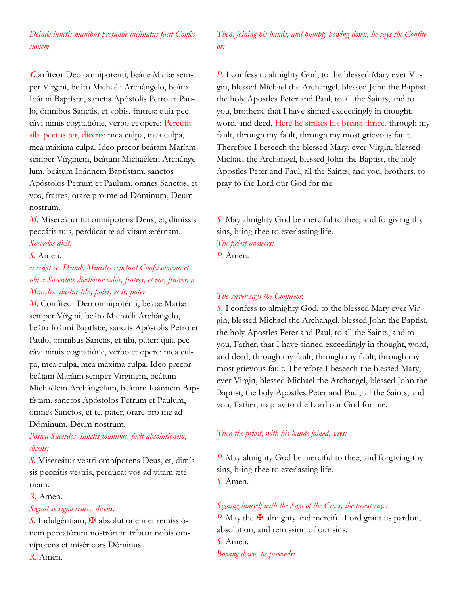*Deinde iunctis manibus profunde inclinatus facit Confessionem.*

**C**onfíteor Deo omnipoténti, beátæ Maríæ semper Vírgini, beáto Michaéli Archángelo, beáto Ioánni Baptístæ, sanctis Apóstolis Petro et Paulo, ómnibus Sanctis, et vobis, fratres: quia peccávi nimis cogitatióne, verbo et opere: Percutit sibi pectus ter, dicens: mea culpa, mea culpa, mea máxima culpa. Ideo precor beátam Maríam semper Vírginem, beátum Michaélem Archángelum, beátum Ioánnem Baptístam, sanctos Apóstolos Petrum et Paulum, omnes Sanctos, et vos, fratres, orare pro me ad Dóminum, Deum nostrum.

*M.* Misereátur tui omnípotens Deus, et, dimíssis peccátis tuis, perdúcat te ad vitam ætérnam. *Sacerdos dicit:*

### *S.* Amen.

*et erigit se. Deinde Ministri repetunt Confessionem: et ubi a Sacerdote dicebatur vobis, fratres, et vos, fratres, a Ministris dicitur tibi, pater, et te, pater.*

*M.* Confíteor Deo omnipoténti, beátæ Maríæ semper Vírgini, beáto Michaéli Archángelo, beáto Ioánni Baptístæ, sanctis Apóstolis Petro et Paulo, ómnibus Sanctis, et tibi, pater: quia peccávi nimis cogitatióne, verbo et opere: mea culpa, mea culpa, mea máxima culpa. Ideo precor beátam Maríam semper Vírginem, beátum Michaélem Archángelum, beátum Ioánnem Baptístam, sanctos Apóstolos Petrum et Paulum, omnes Sanctos, et te, pater, orare pro me ad Dóminum, Deum nostrum.

## *Postea Sacerdos, iunctis manibus, facit absolutionem, dicens:*

*S.* Misereátur vestri omnípotens Deus, et, dimíssis peccátis vestris, perdúcat vos ad vitam ætérnam.

### *R.* Amen.

#### *Signat se signo crucis, dicens:*

*S.* Indulgéntiam, ✠ absolutionem et remissiónem peccatórum nostrórum tríbuat nobis omnípotens et miséricors Dóminus.

*Then, joining his hands, and humbly bowing down, he says the Confiteor:*

*P.* I confess to almighty God, to the blessed Mary ever Virgin, blessed Michael the Archangel, blessed John the Baptist, the holy Apostles Peter and Paul, to all the Saints, and to you, brothers, that I have sinned exceedingly in thought, word, and deed, Here he strikes his breast thrice. through my fault, through my fault, through my most grievous fault. Therefore I beseech the blessed Mary, ever Virgin, blessed Michael the Archangel, blessed John the Baptist, the holy Apostles Peter and Paul, all the Saints, and you, brothers, to pray to the Lord our God for me.

*S.* May almighty God be merciful to thee, and forgiving thy sins, bring thee to everlasting life.

*The priest answers:*

*P.* Amen.

#### *The server says the Confiteor.*

*S.* I confess to almighty God, to the blessed Mary ever Virgin, blessed Michael the Archangel, blessed John the Baptist, the holy Apostles Peter and Paul, to all the Saints, and to you, Father, that I have sinned exceedingly in thought, word, and deed, through my fault, through my fault, through my most grievous fault. Therefore I beseech the blessed Mary, ever Virgin, blessed Michael the Archangel, blessed John the Baptist, the holy Apostles Peter and Paul, all the Saints, and you, Father, to pray to the Lord our God for me.

#### *Then the priest, with his hands joined, says:*

*P.* May almighty God be merciful to thee, and forgiving thy sins, bring thee to everlasting life. *S.* Amen.

### *Signing himself with the Sign of the Cross, the priest says:*

*P.* May the  $\overline{P}$  almighty and merciful Lord grant us pardon, absolution, and remission of our sins. *S.* Amen. *Bowing down, he proceeds:*

*R.* Amen.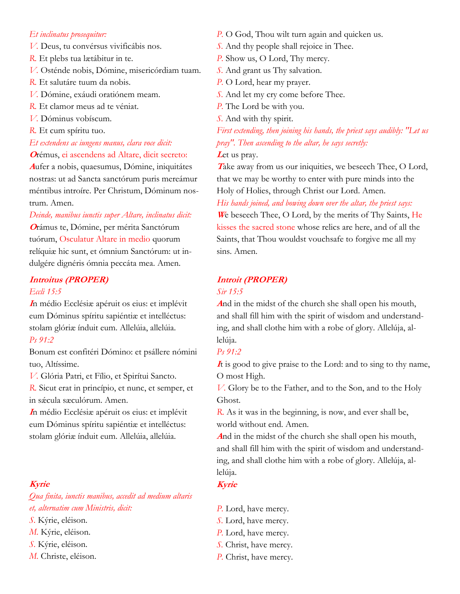#### *Et inclinatus prosequitur:*

- *V.* Deus, tu convérsus vivificábis nos.
- *R.* Et plebs tua lætábitur in te.
- *V.* Osténde nobis, Dómine, misericórdiam tuam.
- *R.* Et salutáre tuum da nobis.
- *V.* Dómine, exáudi oratiónem meam.
- *R.* Et clamor meus ad te véniat.
- *V.* Dóminus vobíscum.
- *R.* Et cum spíritu tuo.

*Et extendens ac iungens manus, clara voce dicit:* **<sup>O</sup>**rémus, ei ascendens ad Altare, dicit secreto:

**<sup>A</sup>**ufer a nobis, quaesumus, Dómine, iniquitátes nostras: ut ad Sancta sanctórum puris mereámur méntibus introíre. Per Christum, Dóminum nostrum. Amen.

#### *Deinde, manibus iunctis super Altare, inclinatus dicit:*

**<sup>O</sup>**rámus te, Dómine, per mérita Sanctórum tuórum, Osculatur Altare in medio quorum relíquiæ hic sunt, et ómnium Sanctórum: ut indulgére dignéris ómnia peccáta mea. Amen.

## **Introitus (PROPER)**

### *Eccli 15:5*

**<sup>I</sup>**n médio Ecclésiæ apéruit os eius: et implévit eum Dóminus spíritu sapiéntiæ et intelléctus: stolam glóriæ índuit eum. Allelúia, allelúia.

## *Ps 91:2*

Bonum est confitéri Dómino: et psállere nómini tuo, Altíssime.

*V.* Glória Patri, et Fílio, et Spirítui Sancto.

*R.* Sicut erat in princípio, et nunc, et semper, et in sæcula sæculórum. Amen.

**<sup>I</sup>**n médio Ecclésiæ apéruit os eius: et implévit eum Dóminus spíritu sapiéntiæ et intelléctus: stolam glóriæ índuit eum. Allelúia, allelúia.

### **Kyrie**

*Qua finita, iunctis manibus, accedit ad medium altaris et, alternatim cum Ministris, dicit:*

- *S.* Kýrie, eléison.
- *M.* Kýrie, eléison.
- *S.* Kýrie, eléison.
- *M.* Christe, eléison.
- *P.* O God, Thou wilt turn again and quicken us.
- *S.* And thy people shall rejoice in Thee.
- *P.* Show us, O Lord, Thy mercy.
- *S.* And grant us Thy salvation.
- *P.* O Lord, hear my prayer.
- *S.* And let my cry come before Thee.
- *P.* The Lord be with you.
- *S.* And with thy spirit.

*First extending, then joining his hands, the priest says audibly: "Let us pray". Then ascending to the altar, he says secretly:*

Let us pray.

Take away from us our iniquities, we beseech Thee, O Lord, that we may be worthy to enter with pure minds into the Holy of Holies, through Christ our Lord. Amen.

#### *His hands joined, and bowing down over the altar, the priest says:*

**<sup>W</sup>**e beseech Thee, O Lord, by the merits of Thy Saints, He kisses the sacred stone whose relics are here, and of all the Saints, that Thou wouldst vouchsafe to forgive me all my sins. Amen.

## **Introit (PROPER)**

#### *Sir 15:5*

**<sup>A</sup>**nd in the midst of the church she shall open his mouth, and shall fill him with the spirit of wisdom and understanding, and shall clothe him with a robe of glory. Allelúja, allelúja.

### *Ps 91:2*

**<sup>I</sup>**t is good to give praise to the Lord: and to sing to thy name, O most High.

*V.* Glory be to the Father, and to the Son, and to the Holy Ghost.

*R.* As it was in the beginning, is now, and ever shall be, world without end. Amen.

**<sup>A</sup>**nd in the midst of the church she shall open his mouth, and shall fill him with the spirit of wisdom and understanding, and shall clothe him with a robe of glory. Allelúja, allelúja.

- **Kyrie**
- *P.* Lord, have mercy.
- *S.* Lord, have mercy.
- *P.* Lord, have mercy.
- *S.* Christ, have mercy.
- *P.* Christ, have mercy.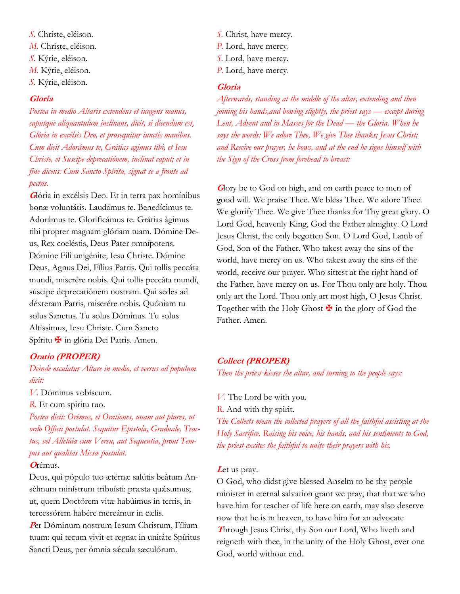*S.* Christe, eléison. *M.* Christe, eléison. *S.* Kýrie, eléison. *M.* Kýrie, eléison. *S.* Kýrie, eléison.

### **Gloria**

*Postea in medio Altaris extendens et iungens manus, caputque aliquantulum inclínans, dicit, si dicendum est, Glória in excélsis Deo, et prosequitur iunctis manibus. Cum dicit Adorámus te, Grátias agimus tibi, et Iesu Christe, et Suscipe deprecatiónem, inclinat caput; et in fine dicens: Cum Sancto Spíritu, signat se a fronte ad pectus.*

**<sup>G</sup>**lória in excélsis Deo. Et in terra pax homínibus bonæ voluntátis. Laudámus te. Benedícimus te. Adorámus te. Glorificámus te. Grátias ágimus tibi propter magnam glóriam tuam. Dómine Deus, Rex coeléstis, Deus Pater omnípotens. Dómine Fili unigénite, Iesu Christe. Dómine Deus, Agnus Dei, Fílius Patris. Qui tollis peccáta mundi, miserére nobis. Qui tollis peccáta mundi, súscipe deprecatiónem nostram. Qui sedes ad déxteram Patris, miserére nobis. Quóniam tu solus Sanctus. Tu solus Dóminus. Tu solus Altíssimus, Iesu Christe. Cum Sancto Spíritu **¥** in glória Dei Patris. Amen.

### **Oratio (PROPER)**

*Deinde osculatur Altare in medio, et versus ad populum dicit:*

*V.* Dóminus vobíscum.

*R.* Et cum spiritu tuo.

*Postea dicit: Orémus, et Orationes, unam aut plures, ut ordo Officii postulat. Sequitur Epistola, Graduale, Tractus, vel Allelúia cum Versu, aut Sequentia, prout Tempus aut qualitas Missæ postulat.*

**<sup>O</sup>**rémus.

Deus, qui pópulo tuo ætérnæ salútis beátum Ansélmum minístrum tribuísti: præsta quæsumus; ut, quem Doctórem vitæ habúimus in terris, intercessórem habére mereámur in cælis.

**<sup>P</sup>**er Dóminum nostrum Iesum Christum, Fílium tuum: qui tecum vivit et regnat in unitáte Spíritus Sancti Deus, per ómnia sæcula sæculórum.

*S.* Christ, have mercy. *P.* Lord, have mercy. *S.* Lord, have mercy. *P.* Lord, have mercy.

### **Gloria**

*Afterwards, standing at the middle of the altar, extending and then joining his hands,and bowing slightly, the priest says — except during Lent, Advent and in Masses for the Dead — the Gloria. When he says the words: We adore Thee, We give Thee thanks; Jesus Christ; and Receive our prayer, he bows, and at the end he signs himself with the Sign of the Cross from forehead to breast:*

**G**lory be to God on high, and on earth peace to men of good will. We praise Thee. We bless Thee. We adore Thee. We glorify Thee. We give Thee thanks for Thy great glory. O Lord God, heavenly King, God the Father almighty. O Lord Jesus Christ, the only begotten Son. O Lord God, Lamb of God, Son of the Father. Who takest away the sins of the world, have mercy on us. Who takest away the sins of the world, receive our prayer. Who sittest at the right hand of the Father, have mercy on us. For Thou only are holy. Thou only art the Lord. Thou only art most high, O Jesus Christ. Together with the Holy Ghost  $\mathbf{\mathbf{\mathsf{F}}}$  in the glory of God the Father. Amen.

#### **Collect (PROPER)**

*Then the priest kisses the altar, and turning to the people says:*

*V.* The Lord be with you. *R.* And with thy spirit.

*The Collects mean the collected prayers of all the faithful assisting at the Holy Sacrifice. Raising his voice, his hands, and his sentiments to God, the priest excites the faithful to unite their prayers with his.*

#### Let us pray.

O God, who didst give blessed Anselm to be thy people minister in eternal salvation grant we pray, that that we who have him for teacher of life here on earth, may also deserve now that he is in heaven, to have him for an advocate **<sup>T</sup>**hrough Jesus Christ, thy Son our Lord, Who liveth and reigneth with thee, in the unity of the Holy Ghost, ever one God, world without end.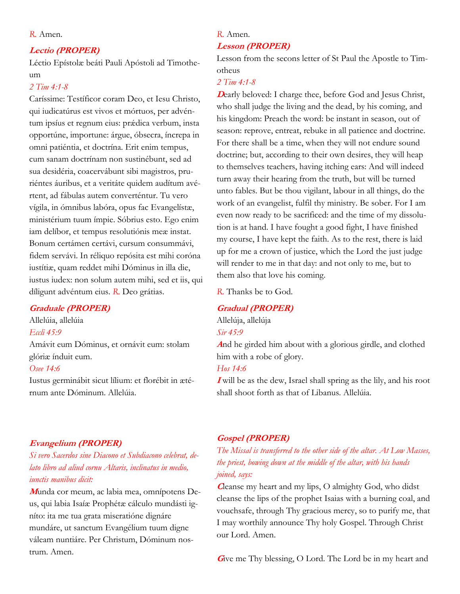#### *R.* Amen.

### **Lectio (PROPER)**

Léctio Epístolæ beáti Pauli Apóstoli ad Timotheum

## *2 Tim 4:1-8*

Caríssime: Testíficor coram Deo, et Iesu Christo, qui iudicatúrus est vivos et mórtuos, per advéntum ipsíus et regnum eius: prádica verbum, insta opportúne, importune: árgue, óbsecra, íncrepa in omni patiéntia, et doctrína. Erit enim tempus, cum sanam doctrínam non sustinébunt, sed ad sua desidéria, coacervábunt sibi magistros, pruriéntes áuribus, et a veritáte quidem audítum avértent, ad fábulas autem converténtur. Tu vero vígila, in ómnibus labóra, opus fac Evangelístæ, ministérium tuum ímpie. Sóbrius esto. Ego enim iam delíbor, et tempus resolutiónis meæ instat. Bonum certámen certávi, cursum consummávi, fidem servávi. In réliquo repósita est mihi coróna iustítiæ, quam reddet mihi Dóminus in illa die, iustus iudex: non solum autem mihi, sed et iis, qui díligunt advéntum eius. *R.* Deo grátias.

#### **Graduale (PROPER)**

Allelúia, allelúia *Eccli 45:9* Amávit eum Dóminus, et ornávit eum: stolam glóriæ índuit eum. *Osee 14:6* Iustus germinábit sicut lílium: et florébit in æté-

rnum ante Dóminum. Allelúia.

## *R.* Amen.

### **Lesson (PROPER)**

Lesson from the secons letter of St Paul the Apostle to Timotheus

## *2 Tim 4:1-8*

**Dearly beloved: I charge thee, before God and Jesus Christ,** who shall judge the living and the dead, by his coming, and his kingdom: Preach the word: be instant in season, out of season: reprove, entreat, rebuke in all patience and doctrine. For there shall be a time, when they will not endure sound doctrine; but, according to their own desires, they will heap to themselves teachers, having itching ears: And will indeed turn away their hearing from the truth, but will be turned unto fables. But be thou vigilant, labour in all things, do the work of an evangelist, fulfil thy ministry. Be sober. For I am even now ready to be sacrificed: and the time of my dissolution is at hand. I have fought a good fight, I have finished my course, I have kept the faith. As to the rest, there is laid up for me a crown of justice, which the Lord the just judge will render to me in that day: and not only to me, but to them also that love his coming.

*R.* Thanks be to God.

#### **Gradual (PROPER)**

Allelúja, allelúja

*Sir 45:9*

**<sup>A</sup>**nd he girded him about with a glorious girdle, and clothed him with a robe of glory.

## *Hos 14:6*

**I** will be as the dew, Israel shall spring as the lily, and his root shall shoot forth as that of Libanus. Allelúia.

#### **Evangelium (PROPER)**

*Si vero Sacerdos sine Diacono et Subdiacono celebrat, delato libro ad aliud cornu Altaris, inclinatus in medio, iunctis manibus dicit:*

**M**unda cor meum, ac labia mea, omnípotens Deus, qui labia Isaíæ Prophétæ cálculo mundásti igníto: ita me tua grata miseratióne dignáre mundáre, ut sanctum Evangélium tuum digne váleam nuntiáre. Per Christum, Dóminum nostrum. Amen.

## **Gospel (PROPER)**

*The Missal is transferred to the other side of the altar. At Low Masses, the priest, bowing down at the middle of the altar, with his hands joined, says:*

**<sup>C</sup>**leanse my heart and my lips, O almighty God, who didst cleanse the lips of the prophet Isaias with a burning coal, and vouchsafe, through Thy gracious mercy, so to purify me, that I may worthily announce Thy holy Gospel. Through Christ our Lord. Amen.

**G**ive me Thy blessing, O Lord. The Lord be in my heart and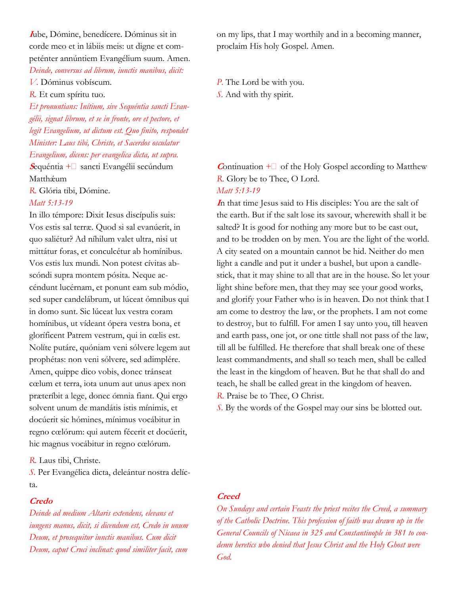**<sup>I</sup>**ube, Dómine, benedícere. Dóminus sit in corde meo et in lábiis meis: ut digne et competénter annúntiem Evangélium suum. Amen. *Deinde, conversus ad librum, iunctis manibus, dicit:*

*V.* Dóminus vobíscum.

*R.* Et cum spíritu tuo.

*Et pronuntians: Inítium, sive Sequéntia sancti Evangélii, signat librum, et se in fronte, ore et pectore, et legit Evangelium, ut dictum est. Quo finito, respondet Minister: Laus tibi, Christe, et Sacerdos osculatur Evangelium, dicens: per evangelica dicta, ut supra.*

**<sup>S</sup>**equéntia +︎ sancti Evangélii secúndum Matthǽum

*R.* Glória tibi, Dómine.

#### *Matt 5:13-19*

In illo témpore: Dixit Iesus discípulis suis: Vos estis sal terræ. Quod si sal evanúerit, in quo saliétur? Ad níhilum valet ultra, nisi ut mittátur foras, et conculcétur ab homínibus. Vos estis lux mundi. Non potest cívitas abscóndi supra montem pósita. Neque accéndunt lucérnam, et ponunt eam sub módio, sed super candelábrum, ut lúceat ómnibus qui in domo sunt. Sic lúceat lux vestra coram homínibus, ut vídeant ópera vestra bona, et gloríficent Patrem vestrum, qui in cœlis est. Nolíte putáre, quóniam veni sólvere legem aut prophétas: non veni sólvere, sed adimplére. Amen, quippe dico vobis, donec tránseat cœlum et terra, iota unum aut unus apex non præteríbit a lege, donec ómnia fiant. Qui ergo solvent unum de mandátis istis mínimis, et docúerit sic hómines, mínimus vocábitur in regno cœlórum: qui autem fécerit et docúerit, hic magnus vocábitur in regno cœlórum.

*R.* Laus tibi, Christe.

*S.* Per Evangélica dicta, deleántur nostra delícta.

#### **Credo**

*Deinde ad medium Altaris extendens, elevans et iungens manus, dicit, si dicendum est, Credo in unum Deum, et prosequitur iunctis manibus. Cum dicit Deum, caput Cruci inclinat: quod similiter facit, cum* 

on my lips, that I may worthily and in a becoming manner, proclaim His holy Gospel. Amen.

*P.* The Lord be with you. *S.* And with thy spirit.

**Continuation**  $+$  of the Holy Gospel according to Matthew *R.* Glory be to Thee, O Lord. *Matt 5:13-19*

**<sup>I</sup>**n that time Jesus said to His disciples: You are the salt of the earth. But if the salt lose its savour, wherewith shall it be salted? It is good for nothing any more but to be cast out, and to be trodden on by men. You are the light of the world. A city seated on a mountain cannot be hid. Neither do men light a candle and put it under a bushel, but upon a candlestick, that it may shine to all that are in the house. So let your light shine before men, that they may see your good works, and glorify your Father who is in heaven. Do not think that I am come to destroy the law, or the prophets. I am not come to destroy, but to fulfill. For amen I say unto you, till heaven and earth pass, one jot, or one tittle shall not pass of the law, till all be fulfilled. He therefore that shall break one of these least commandments, and shall so teach men, shall be called the least in the kingdom of heaven. But he that shall do and teach, he shall be called great in the kingdom of heaven. *R.* Praise be to Thee, O Christ.

*S.* By the words of the Gospel may our sins be blotted out.

#### **Creed**

*On Sundays and certain Feasts the priest recites the Creed, a summary of the Catholic Doctrine. This profession of faith was drawn up in the General Councils of Nicaea in 325 and Constantinople in 381 to condemn heretics who denied that Jesus Christ and the Holy Ghost were God.*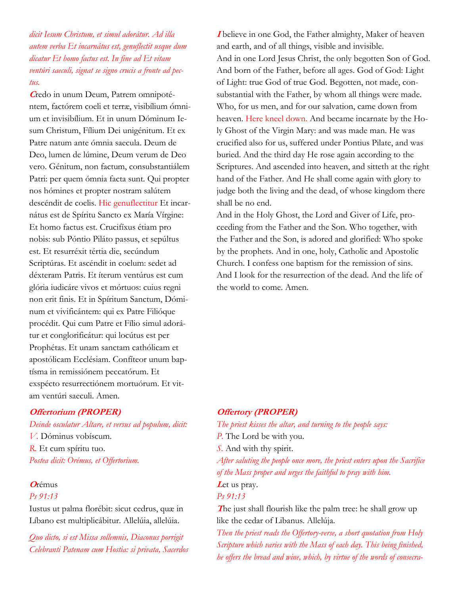*dicit Iesum Christum, et simul adorátur. Ad illa autem verba Et incarnátus est, genuflectit usque dum dicatur Et homo factus est. In fine ad Et vitam ventúri saeculi, signat se signo crucis a fronte ad pectus.*

**C**redo in unum Deum, Patrem omnipoténtem, factórem coeli et terræ, visibílium ómnium et invisibílium. Et in unum Dóminum Iesum Christum, Fílium Dei unigénitum. Et ex Patre natum ante ómnia saecula. Deum de Deo, lumen de lúmine, Deum verum de Deo vero. Génitum, non factum, consubstantiálem Patri: per quem ómnia facta sunt. Qui propter nos hómines et propter nostram salútem descéndit de coelis. Hic genuflectitur Et incarnátus est de Spíritu Sancto ex María Vírgine: Et homo factus est. Crucifíxus étiam pro nobis: sub Póntio Piláto passus, et sepúltus est. Et resurréxit tértia die, secúndum Scriptúras. Et ascéndit in coelum: sedet ad déxteram Patris. Et íterum ventúrus est cum glória iudicáre vivos et mórtuos: cuius regni non erit finis. Et in Spíritum Sanctum, Dóminum et vivificántem: qui ex Patre Filióque procédit. Qui cum Patre et Fílio simul adorátur et conglorificátur: qui locútus est per Prophétas. Et unam sanctam cathólicam et apostólicam Ecclésiam. Confíteor unum baptísma in remissiónem peccatórum. Et exspécto resurrectiónem mortuórum. Et vitam ventúri saeculi. Amen.

### **Offertorium (PROPER)**

#### *Deinde osculatur Altare, et versus ad populum, dicit:*

*V.* Dóminus vobíscum. *R.* Et cum spíritu tuo. *Postea dicit: Orémus, et Offertorium.*

#### **<sup>O</sup>**rémus

### *Ps 91:13*

Iustus ut palma florébit: sicut cedrus, quæ in Líbano est multiplicábitur. Allelúia, allelúia.

*Quo dicto, si est Missa sollemnis, Diaconus porrigit Celebranti Patenam cum Hostia: si privata, Sacerdos* 

**I** believe in one God, the Father almighty, Maker of heaven and earth, and of all things, visible and invisible. And in one Lord Jesus Christ, the only begotten Son of God. And born of the Father, before all ages. God of God: Light of Light: true God of true God. Begotten, not made, consubstantial with the Father, by whom all things were made. Who, for us men, and for our salvation, came down from heaven. Here kneel down. And became incarnate by the Holy Ghost of the Virgin Mary: and was made man. He was crucified also for us, suffered under Pontius Pilate, and was buried. And the third day He rose again according to the Scriptures. And ascended into heaven, and sitteth at the right hand of the Father. And He shall come again with glory to judge both the living and the dead, of whose kingdom there shall be no end.

And in the Holy Ghost, the Lord and Giver of Life, proceeding from the Father and the Son. Who together, with the Father and the Son, is adored and glorified: Who spoke by the prophets. And in one, holy, Catholic and Apostolic Church. I confess one baptism for the remission of sins. And I look for the resurrection of the dead. And the life of the world to come. Amen.

### **Offertory (PROPER)**

*The priest kisses the altar, and turning to the people says:*

*P.* The Lord be with you.

*S.* And with thy spirit.

*After saluting the people once more, the priest enters upon the Sacrifice of the Mass proper and urges the faithful to pray with him.* Let us pray.

## *Ps 91:13*

**The just shall flourish like the palm tree: he shall grow up** like the cedar of Libanus. Allelúja.

*Then the priest reads the Offertory-verse, a short quotation from Holy Scripture which varies with the Mass of each day. This being finished, he offers the bread and wine, which, by virtue of the words of consecra-*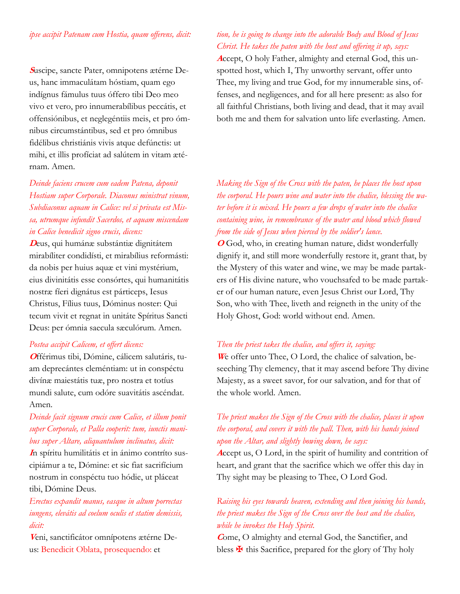### *ipse accipit Patenam cum Hostia, quam offerens, dicit:*

**S**uscipe, sancte Pater, omnipotens ætérne Deus, hanc immaculátam hóstiam, quam ego indígnus fámulus tuus óffero tibi Deo meo vivo et vero, pro innumerabílibus peccátis, et offensiónibus, et neglegéntiis meis, et pro ómnibus circumstántibus, sed et pro ómnibus fidélibus christiánis vivis atque defúnctis: ut mihi, et illis profíciat ad salútem in vitam ætérnam. Amen.

## *Deinde faciens crucem cum eadem Patena, deponit Hostiam super Corporale. Diaconus ministrat vinum, Subdiaconus aquam in Calice: vel si privata est Missa, utrumque infundit Sacerdos, et aquam miscendam in Calice benedicit signo crucis, dicens:*

**<sup>D</sup>**eus, qui humánæ substántiæ dignitátem mirabíliter condidísti, et mirabílius reformásti: da nobis per huius aquæ et vini mystérium, eius divinitátis esse consórtes, qui humanitátis nostræ fíeri dignátus est párticeps, Iesus Christus, Fílius tuus, Dóminus noster: Qui tecum vivit et regnat in unitáte Spíritus Sancti Deus: per ómnia saecula sæculórum. Amen.

#### *Postea accipit Calicem, et offert dicens:*

**O**fférimus tibi, Dómine, cálicem salutáris, tuam deprecántes cleméntiam: ut in conspéctu divínæ maiestátis tuæ, pro nostra et totíus mundi salute, cum odóre suavitátis ascéndat. Amen.

## *Deinde facit signum crucis cum Calice, et illum ponit super Corporale, et Palla cooperit: tum, iunctis manibus super Altare, aliquantulum inclinatus, dicit:*

**I**n spíritu humilitátis et in ánimo contríto suscipiámur a te, Dómine: et sic fiat sacrifícium nostrum in conspéctu tuo hódie, ut pláceat tibi, Dómine Deus.

## *Erectus expandit manus, easque in altum porrectas iungens, elevátis ad coelum oculis et statim demissis, dicit:*

**V**eni, sanctificátor omnípotens ætérne Deus: Benedicit Oblata, prosequendo: et

## *tion, he is going to change into the adorable Body and Blood of Jesus Christ. He takes the paten with the host and offering it up, says:*

**A**ccept, O holy Father, almighty and eternal God, this unspotted host, which I, Thy unworthy servant, offer unto Thee, my living and true God, for my innumerable sins, offenses, and negligences, and for all here present: as also for all faithful Christians, both living and dead, that it may avail both me and them for salvation unto life everlasting. Amen.

## *Making the Sign of the Cross with the paten, he places the host upon the corporal. He pours wine and water into the chalice, blessing the water before it is mixed. He pours a few drops of water into the chalice containing wine, in remembrance of the water and blood which flowed from the side of Jesus when pierced by the soldier's lance.*

**<sup>O</sup>** God, who, in creating human nature, didst wonderfully dignify it, and still more wonderfully restore it, grant that, by the Mystery of this water and wine, we may be made partakers of His divine nature, who vouchsafed to be made partaker of our human nature, even Jesus Christ our Lord, Thy Son, who with Thee, liveth and reigneth in the unity of the Holy Ghost, God: world without end. Amen.

### *Then the priest takes the chalice, and offers it, saying:*

**W**e offer unto Thee, O Lord, the chalice of salvation, beseeching Thy clemency, that it may ascend before Thy divine Majesty, as a sweet savor, for our salvation, and for that of the whole world. Amen.

## *The priest makes the Sign of the Cross with the chalice, places it upon the corporal, and covers it with the pall. Then, with his hands joined upon the Altar, and slightly bowing down, he says:*

**<sup>A</sup>**ccept us, O Lord, in the spirit of humility and contrition of heart, and grant that the sacrifice which we offer this day in Thy sight may be pleasing to Thee, O Lord God.

## *Raising his eyes towards heaven, extending and then joining his hands, the priest makes the Sign of the Cross over the host and the chalice, while he invokes the Holy Spirit.*

**<sup>C</sup>**ome, O almighty and eternal God, the Sanctifier, and bless  $\mathbf{\Psi}$  this Sacrifice, prepared for the glory of Thy holy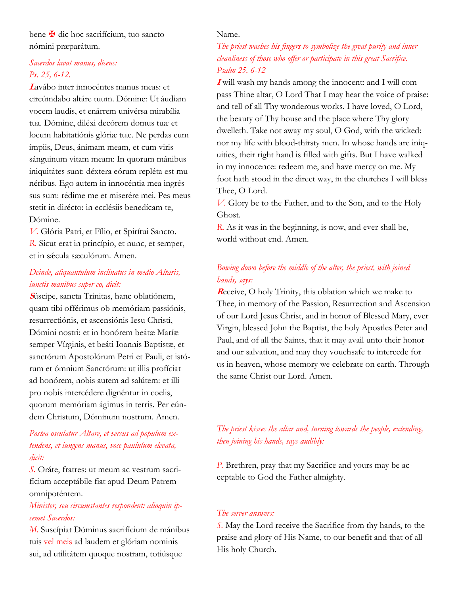bene **¥** dic hoc sacrifícium, tuo sancto nómini præparátum.

## *Sacerdos lavat manus, dicens: Ps. 25, 6-12.*

**<sup>L</sup>**avábo inter innocéntes manus meas: et circúmdabo altáre tuum. Dómine: Ut áudiam vocem laudis, et enárrem univérsa mirabília tua. Dómine, diléxi decórem domus tuæ et locum habitatiónis glóriæ tuæ. Ne perdas cum ímpiis, Deus, ánimam meam, et cum viris sánguinum vitam meam: In quorum mánibus iniquitátes sunt: déxtera eórum repléta est munéribus. Ego autem in innocéntia mea ingréssus sum: rédime me et miserére mei. Pes meus stetit in dirécto: in ecclésiis benedícam te, Dómine.

*V.* Glória Patri, et Fílio, et Spirítui Sancto. *R.* Sicut erat in princípio, et nunc, et semper, et in sǽcula sæculórum. Amen.

## *Deinde, aliquantulum inclinatus in medio Altaris, iunctis manibus super eo, dicit:*

**<sup>S</sup>**úscipe, sancta Trinitas, hanc oblatiónem, quam tibi offérimus ob memóriam passiónis, resurrectiónis, et ascensiónis Iesu Christi, Dómini nostri: et in honórem beátæ Maríæ semper Vírginis, et beáti Ioannis Baptistæ, et sanctórum Apostolórum Petri et Pauli, et istórum et ómnium Sanctórum: ut illis profíciat ad honórem, nobis autem ad salútem: et illi pro nobis intercédere dignéntur in coelis, quorum memóriam ágimus in terris. Per eúndem Christum, Dóminum nostrum. Amen.

## *Postea osculatur Altare, et versus ad populum extendens, et iungens manus, voce paululum elevata, dicit:*

*S.* Oráte, fratres: ut meum ac vestrum sacrifícium acceptábile fiat apud Deum Patrem omnipoténtem.

## *Minister, seu circumstantes respondent: alioquin ipsemet Sacerdos:*

*M.* Suscípiat Dóminus sacrifícium de mánibus tuis vel meis ad laudem et glóriam nominis sui, ad utilitátem quoque nostram, totiúsque

### Name.

## *The priest washes his fingers to symbolize the great purity and inner cleanliness of those who offer or participate in this great Sacrifice. Psalm 25. 6-12*

**I** will wash my hands among the innocent: and I will compass Thine altar, O Lord That I may hear the voice of praise: and tell of all Thy wonderous works. I have loved, O Lord, the beauty of Thy house and the place where Thy glory dwelleth. Take not away my soul, O God, with the wicked: nor my life with blood-thirsty men. In whose hands are iniquities, their right hand is filled with gifts. But I have walked in my innocence: redeem me, and have mercy on me. My foot hath stood in the direct way, in the churches I will bless Thee, O Lord.

*V.* Glory be to the Father, and to the Son, and to the Holy Ghost.

*R.* As it was in the beginning, is now, and ever shall be, world without end. Amen.

## *Bowing down before the middle of the alter, the priest, with joined hands, says:*

**<sup>R</sup>**eceive, O holy Trinity, this oblation which we make to Thee, in memory of the Passion, Resurrection and Ascension of our Lord Jesus Christ, and in honor of Blessed Mary, ever Virgin, blessed John the Baptist, the holy Apostles Peter and Paul, and of all the Saints, that it may avail unto their honor and our salvation, and may they vouchsafe to intercede for us in heaven, whose memory we celebrate on earth. Through the same Christ our Lord. Amen.

## *The priest kisses the altar and, turning towards the people, extending, then joining his hands, says audibly:*

*P.* Brethren, pray that my Sacrifice and yours may be acceptable to God the Father almighty.

### *The server answers:*

*S.* May the Lord receive the Sacrifice from thy hands, to the praise and glory of His Name, to our benefit and that of all His holy Church.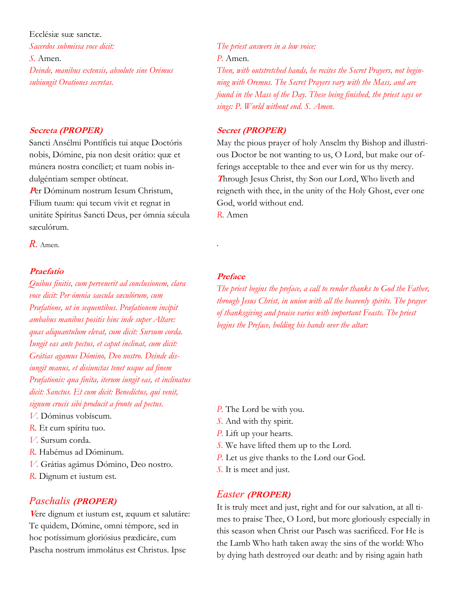Ecclésiæ suæ sanctæ.

*Sacerdos submissa voce dicit: S.* Amen. *Deinde, manibus extensis, absolute sine Orémus subiungit Orationes secretas.*

#### **Secreta (PROPER)**

Sancti Ansélmi Pontíficis tui atque Doctóris nobis, Dómine, pia non desit orátio: quæ et múnera nostra concíliet; et tuam nobis indulgéntiam semper obtíneat.

**<sup>P</sup>**er Dóminum nostrum Iesum Christum, Fílium tuum: qui tecum vivit et regnat in unitáte Spíritus Sancti Deus, per ómnia sácula sæculórum.

*R.* Amen.

### **Praefatio**

*Quibus finitis, cum pervenerit ad conclusionem, clara voce dicit: Per ómnia saecula sæculórum, cum Præfatione, ut in sequentibus. Præfationem incipit ambabus manibus positis hinc inde super Altare: quas aliquantulum elevat, cum dicit: Sursum corda. Iungit eas ante pectus, et caput inclinat, cum dicit: Grátias agamus Dómino, Deo nostro. Deinde disiungit manus, et disiunctas tenet usque ad finem Præfationis: qua finita, iterum iungit eas, et inclinatus dicit: Sanctus. Et cum dicit: Benedíctus, qui venit, signum crucis sibi producit a fronte ad pectus.*

- *V.* Dóminus vobíscum.
- *R.* Et cum spíritu tuo.
- *V.* Sursum corda.
- *R.* Habémus ad Dóminum.
- *V.* Grátias agámus Dómino, Deo nostro.
- *R.* Dignum et iustum est.

### *Paschalis* **(PROPER)**

**<sup>V</sup>**ere dignum et iustum est, æquum et salutáre: Te quidem, Dómine, omni témpore, sed in hoc potíssimum gloriósius prædicáre, cum Pascha nostrum immolátus est Christus. Ipse

*The priest answers in a low voice: P.* Amen. *Then, with outstretched hands, he recites the Secret Prayers, not begin-*

*ning with Oremus. The Secret Prayers vary with the Mass, and are found in the Mass of the Day. These being finished, the priest says or sings: P. World without end. S. Amen.*

#### **Secret (PROPER)**

May the pious prayer of holy Anselm thy Bishop and illustrious Doctor be not wanting to us, O Lord, but make our offerings acceptable to thee and ever win for us thy mercy. **<sup>T</sup>**hrough Jesus Christ, thy Son our Lord, Who liveth and reigneth with thee, in the unity of the Holy Ghost, ever one God, world without end.

*R.* Amen

.

## **Preface**

*The priest begins the preface, a call to render thanks to God the Father, through Jesus Christ, in union with all the heavenly spirits. The prayer of thanksgiving and praise varies with important Feasts. The priest begins the Preface, holding his hands over the altar:*

- *P.* The Lord be with you.
- *S.* And with thy spirit.
- *P.* Lift up your hearts.
- *S.* We have lifted them up to the Lord.
- *P.* Let us give thanks to the Lord our God.
- *S.* It is meet and just.

### *Easter* **(PROPER)**

It is truly meet and just, right and for our salvation, at all times to praise Thee, O Lord, but more gloriously especially in this season when Christ our Pasch was sacrificed. For He is the Lamb Who hath taken away the sins of the world: Who by dying hath destroyed our death: and by rising again hath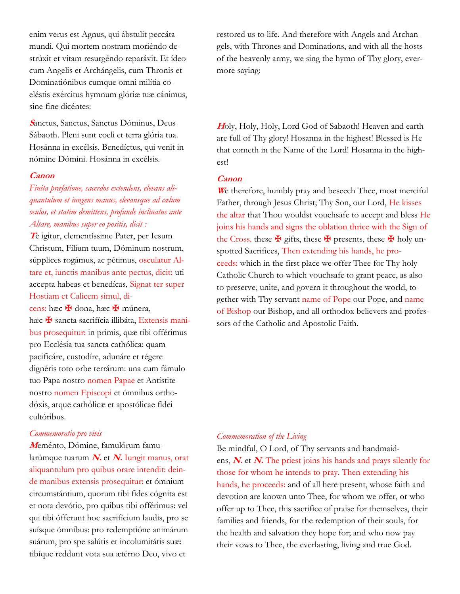enim verus est Agnus, qui ábstulit peccáta mundi. Qui mortem nostram moriéndo destrúxit et vitam resurgéndo reparávit. Et ídeo cum Angelis et Archángelis, cum Thronis et Dominatiónibus cumque omni milítia coeléstis exércitus hymnum glóriæ tuæ cánimus, sine fine dicéntes:

**<sup>S</sup>**anctus, Sanctus, Sanctus Dóminus, Deus Sábaoth. Pleni sunt coeli et terra glória tua. Hosánna in excélsis. Benedíctus, qui venit in nómine Dómini. Hosánna in excélsis.

#### **Canon**

*Finita præfatione, sacerdos extendens, elevans aliquantulum et iungens manus, elevansque ad cælum oculos, et statim demittens, profunde inclinatus ante Altare, manibus super eo positis, dicit :*

**<sup>T</sup>**e igitur, clementíssime Pater, per Iesum Christum, Fílium tuum, Dóminum nostrum, súpplices rogámus, ac pétimus, osculatur Altare et, iunctis manibus ante pectus, dicit: uti accepta habeas et benedícas, Signat ter super Hostiam et Calicem simul, dicens: hæc <del>¥</del> dona, hæc <del>¥</del> múnera, hæc  $\mathbf{\mathbf{\mathsf{F}}}$  sancta sacrifícia illibáta, Extensis manibus prosequitur: in primis, quæ tibi offérimus pro Ecclésia tua sancta cathólica: quam pacificáre, custodíre, adunáre et régere dignéris toto orbe terrárum: una cum fámulo tuo Papa nostro nomen Papae et Antístite nostro nomen Episcopi et ómnibus orthodóxis, atque cathólicæ et apostólicae fídei cultóribus.

#### *Commemoratio pro vivis*

**M**eménto, Dómine, famulórum famularúmque tuarum **N.** et **N.** Iungit manus, orat aliquantulum pro quibus orare intendit: deinde manibus extensis prosequitur: et ómnium circumstántium, quorum tibi fides cógnita est et nota devótio, pro quibus tibi offérimus: vel qui tibi ófferunt hoc sacrifícium laudis, pro se suísque ómnibus: pro redemptióne animárum suárum, pro spe salútis et incolumitátis suæ: tibíque reddunt vota sua ætérno Deo, vivo et

restored us to life. And therefore with Angels and Archangels, with Thrones and Dominations, and with all the hosts of the heavenly army, we sing the hymn of Thy glory, evermore saying:

**<sup>H</sup>**oly, Holy, Holy, Lord God of Sabaoth! Heaven and earth are full of Thy glory! Hosanna in the highest! Blessed is He that cometh in the Name of the Lord! Hosanna in the highest!

### **Canon**

**<sup>W</sup>**e therefore, humbly pray and beseech Thee, most merciful Father, through Jesus Christ; Thy Son, our Lord, He kisses the altar that Thou wouldst vouchsafe to accept and bless He joins his hands and signs the oblation thrice with the Sign of the Cross. these  $\mathbf{\Psi}$  gifts, these  $\mathbf{\Psi}$  presents, these  $\mathbf{\Psi}$  holy unspotted Sacrifices, Then extending his hands, he proceeds: which in the first place we offer Thee for Thy holy Catholic Church to which vouchsafe to grant peace, as also to preserve, unite, and govern it throughout the world, together with Thy servant name of Pope our Pope, and name of Bishop our Bishop, and all orthodox believers and professors of the Catholic and Apostolic Faith.

#### *Commemoration of the Living*

Be mindful, O Lord, of Thy servants and handmaidens, **N.** et **N.** The priest joins his hands and prays silently for those for whom he intends to pray. Then extending his hands, he proceeds: and of all here present, whose faith and devotion are known unto Thee, for whom we offer, or who offer up to Thee, this sacrifice of praise for themselves, their families and friends, for the redemption of their souls, for the health and salvation they hope for; and who now pay their vows to Thee, the everlasting, living and true God.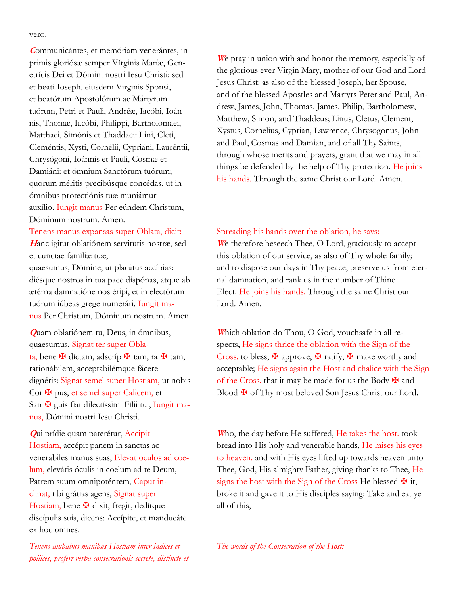vero.

**<sup>C</sup>**ommunicántes, et memóriam venerántes, in primis gloriósæ semper Vírginis Maríæ, Genetrícis Dei et Dómini nostri Iesu Christi: sed et beati Ioseph, eiusdem Virginis Sponsi, et beatórum Apostolórum ac Mártyrum tuórum, Petri et Pauli, Andréæ, Iacóbi, Ioánnis, Thomæ, Iacóbi, Philíppi, Bartholomaei, Matthaei, Simónis et Thaddaei: Lini, Cleti, Cleméntis, Xysti, Cornélii, Cypriáni, Lauréntii, Chrysógoni, Ioánnis et Pauli, Cosmæ et Damiáni: et ómnium Sanctórum tuórum; quorum méritis precibúsque concédas, ut in ómnibus protectiónis tuæ muniámur auxílio. Iungit manus Per eúndem Christum, Dóminum nostrum. Amen.

#### Tenens manus expansas super Oblata, dicit:

**<sup>H</sup>**anc igitur oblatiónem servitutis nostræ, sed et cunctae famíliæ tuæ,

quaesumus, Dómine, ut placátus accípias: diésque nostros in tua pace dispónas, atque ab ætérna damnatióne nos éripi, et in electórum tuórum iúbeas grege numerári. Iungit manus Per Christum, Dóminum nostrum. Amen.

**Q**uam oblatiónem tu, Deus, in ómnibus, quaesumus, Signat ter super Oblata, bene ✠ díctam, adscríp ✠ tam, ra ✠ tam, rationábilem, acceptabilémque fácere dignéris: Signat semel super Hostiam, ut nobis Cor  $\mathbf{\Psi}$  pus, et semel super Calicem, et San  $\mathbf{\Psi}$  guis fiat dilectíssimi Fílii tui, Iungit manus, Dómini nostri Iesu Christi.

**Q**ui prídie quam paterétur, Accipit Hostiam, accépit panem in sanctas ac venerábiles manus suas, Elevat oculos ad coelum, elevátis óculis in coelum ad te Deum, Patrem suum omnipoténtem, Caput inclinat, tibi grátias agens, Signat super Hostiam, bene  $\mathbf \Psi$  dixit, fregit, dedítque discípulis suis, dicens: Accípite, et manducáte ex hoc omnes.

*Tenens ambabus manibus Hostiam inter indices et pollices, profert verba consecrationis secrete, distincte et* 

**<sup>W</sup>**e pray in union with and honor the memory, especially of the glorious ever Virgin Mary, mother of our God and Lord Jesus Christ: as also of the blessed Joseph, her Spouse, and of the blessed Apostles and Martyrs Peter and Paul, Andrew, James, John, Thomas, James, Philip, Bartholomew, Matthew, Simon, and Thaddeus; Linus, Cletus, Clement, Xystus, Cornelius, Cyprian, Lawrence, Chrysogonus, John and Paul, Cosmas and Damian, and of all Thy Saints, through whose merits and prayers, grant that we may in all things be defended by the help of Thy protection. He joins his hands. Through the same Christ our Lord. Amen.

#### Spreading his hands over the oblation, he says:

**<sup>W</sup>**e therefore beseech Thee, O Lord, graciously to accept this oblation of our service, as also of Thy whole family; and to dispose our days in Thy peace, preserve us from eternal damnation, and rank us in the number of Thine Elect. He joins his hands. Through the same Christ our Lord. Amen.

**W**hich oblation do Thou, O God, vouchsafe in all respects, He signs thrice the oblation with the Sign of the Cross. to bless,  $\mathbf{\Psi}$  approve,  $\mathbf{\Psi}$  ratify,  $\mathbf{\Psi}$  make worthy and acceptable; He signs again the Host and chalice with the Sign of the Cross. that it may be made for us the Body  $\mathbf{\mathbf{\mathsf{F}}}$  and Blood  $\maltese$  of Thy most beloved Son Jesus Christ our Lord.

**<sup>W</sup>**ho, the day before He suffered, He takes the host. took bread into His holy and venerable hands, He raises his eyes to heaven. and with His eyes lifted up towards heaven unto Thee, God, His almighty Father, giving thanks to Thee, He signs the host with the Sign of the Cross He blessed  $\mathbf{\Psi}$  it, broke it and gave it to His disciples saying: Take and eat ye all of this,

*The words of the Consecration of the Host:*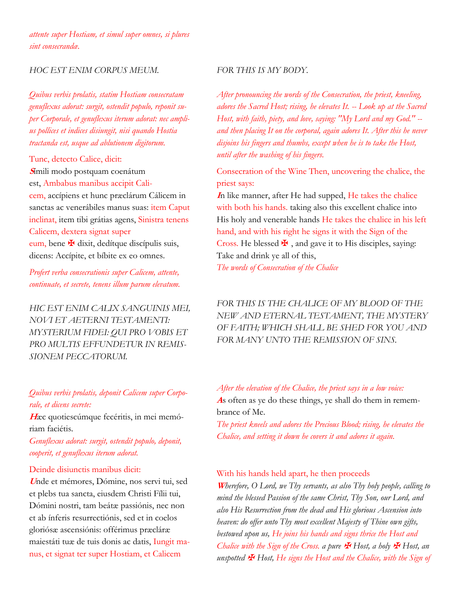*attente super Hostiam, et simul super omnes, si plures sint consecrandæ.*

#### *HOC EST ENIM CORPUS MEUM.*

*Quibus verbis prolatis, statim Hostiam consecratam genuflexus adorat: surgit, ostendit populo, reponit super Corporale, et genuflexus iterum adorat: nec amplius pollices et indices disiungit, nisi quando Hostia tractanda est, usque ad ablutionem digitorum.*

Tunc, detecto Calice, dicit: **<sup>S</sup>**ímili modo postquam coenátum est, Ambabus manibus accipit Calicem, accípiens et hunc præclárum Cálicem in sanctas ac venerábiles manus suas: item Caput inclinat, item tibi grátias agens, Sinistra tenens Calicem, dextera signat super eum, bene  $\mathbf{\Psi}$  dixit, dedítque discípulis suis, dicens: Accípite, et bíbite ex eo omnes.

*Profert verba consecrationis super Calicem, attente, continuate, et secrete, tenens illum parum elevatum.*

*HIC EST ENIM CALIX SANGUINIS MEI, NOVI ET AETERNI TESTAMENTI: MYSTERIUM FIDEI: QUI PRO VOBIS ET PRO MULTIS EFFUNDETUR IN REMIS-SIONEM PECCATORUM.*

## *Quibus verbis prolatis, deponit Calicem super Corporale, et dicens secrete:*

**H**æc quotiescúmque fecéritis, in mei memóriam faciétis.

*Genuflexus adorat: surgit, ostendit populo, deponit, cooperit, et genuflexus iterum adorat.*

#### Deinde disiunctis manibus dicit:

**<sup>U</sup>**nde et mémores, Dómine, nos servi tui, sed et plebs tua sancta, eiusdem Christi Fílii tui, Dómini nostri, tam beátæ passiónis, nec non et ab ínferis resurrectiónis, sed et in coelos gloriósæ ascensiónis: offérimus præcláræ maiestáti tuæ de tuis donis ac datis, Iungit manus, et signat ter super Hostiam, et Calicem

#### *FOR THIS IS MY BODY.*

*After pronouncing the words of the Consecration, the priest, kneeling, adores the Sacred Host; rising, he elevates It. -- Look up at the Sacred Host, with faith, piety, and love, saying: "My Lord and my God." - and then placing It on the corporal, again adores It. After this he never disjoins his fingers and thumbs, except when he is to take the Host, until after the washing of his fingers.*

Consecration of the Wine Then, uncovering the chalice, the priest says:

**<sup>I</sup>**n like manner, after He had supped, He takes the chalice with both his hands. taking also this excellent chalice into His holy and venerable hands He takes the chalice in his left hand, and with his right he signs it with the Sign of the Cross. He blessed  $\mathbf{\Psi}$ , and gave it to His disciples, saying: Take and drink ye all of this,

*The words of Consecration of the Chalice*

## *FOR THIS IS THE CHALICE OF MY BLOOD OF THE NEW AND ETERNAL TESTAMENT, THE MYSTERY OF FAITH; WHICH SHALL BE SHED FOR YOU AND FOR MANY UNTO THE REMISSION OF SINS.*

*After the elevation of the Chalice, the priest says in a low voice:* **A**s often as ye do these things, ye shall do them in remembrance of Me.

*The priest kneels and adores the Precious Blood; rising, he elevates the Chalice, and setting it down he covers it and adores it again.*

#### With his hands held apart, he then proceeds

**<sup>W</sup>***herefore, O Lord, we Thy servants, as also Thy holy people, calling to mind the blessed Passion of the same Christ, Thy Son, our Lord, and also His Resurrection from the dead and His glorious Ascension into heaven: do offer unto Thy most excellent Majesty of Thine own gifts, bestowed upon us, He joins his hands and signs thrice the Host and Chalice with the Sign of the Cross. a pure*  $\mathbf{\mathcal{F}}$  *Host, a holy*  $\mathbf{\mathcal{F}}$  *Host, an unspotted* ✠ *Host, He signs the Host and the Chalice, with the Sign of*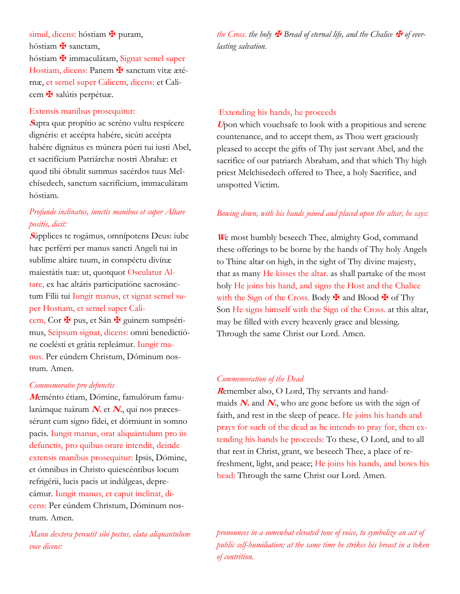## simul, dicens: hóstiam  $\mathbf{\Psi}$  puram,

hóstiam **¥** sanctam,

hóstiam ✠ immaculátam, Signat semel super Hostiam, dicens: Panem **¥** sanctum vitæ ætérnæ, et semel super Calicem, dicens: et Calicem ✠ salútis perpétuæ.

### Extensis manibus prosequitur:

**<sup>S</sup>**upra quæ propítio ac seréno vultu respícere dignéris: et accépta habére, sicúti accépta habére dignátus es múnera púeri tui iusti Abel, et sacrifícium Patriárchæ nostri Abrahæ: et quod tibi óbtulit summus sacérdos tuus Melchísedech, sanctum sacrifícium, immaculátam hóstiam.

## *Profunde inclinatus, iunctis manibus et super Altare positis, dicit:*

**<sup>S</sup>**úpplices te rogámus, omnípotens Deus: iube hæc perférri per manus sancti Angeli tui in sublíme altáre tuum, in conspéctu divínæ maiestátis tuæ: ut, quotquot Osculatur Altare, ex hac altáris participatióne sacrosánctum Fílii tui Iungit manus, et signat semel super Hostiam, et semel super Calicem, Cor  $\maltese$  pus, et Sán  $\maltese$  guinem sumpsérimus, Seipsum signat, dicens: omni benedictióne coelésti et grátia repleámur. Iungit manus. Per eúndem Christum, Dóminum nostrum. Amen.

#### *Commemoratio pro defunctis*

**M**eménto étiam, Dómine, famulórum famularúmque tuárum **N.** et **N.**, qui nos præcessérunt cum signo fídei, et dórmiunt in somno pacis. Iungit manus, orat aliquántulum pro iis defunctis, pro quibus orare intendit, deinde extensis manibus prosequitur: Ipsis, Dómine, et ómnibus in Christo quiescéntibus locum refrigérii, lucis pacis ut indúlgeas, deprecámur. Iungit manus, et caput inclinat, dicens: Per eúndem Christum, Dóminum nostrum. Amen.

*Manu dextera percutit sibi pectus, elata aliquantulum voce dicens:*

*the Cross. the holy*  $\mathbf{\mathbf{\mathcal{F}}}$  *Bread of eternal life, and the Chalice*  $\mathbf{\mathbf{\mathcal{F}}}$  *of everlasting salvation.*

### Extending his hands, he proceeds

**<sup>U</sup>**pon which vouchsafe to look with a propitious and serene countenance, and to accept them, as Thou wert graciously pleased to accept the gifts of Thy just servant Abel, and the sacrifice of our patriarch Abraham, and that which Thy high priest Melchisedech offered to Thee, a holy Sacrifice, and unspotted Victim.

### *Bowing down, with his hands joined and placed upon the altar, he says:*

We most humbly beseech Thee, almighty God, command these offerings to be borne by the hands of Thy holy Angels to Thine altar on high, in the sight of Thy divine majesty, that as many He kisses the altar. as shall partake of the most holy He joins his hand, and signs the Host and the Chalice with the Sign of the Cross. Body  $\mathbf{\Psi}$  and Blood  $\mathbf{\Psi}$  of Thy Son He signs himself with the Sign of the Cross. at this altar, may be filled with every heavenly grace and blessing. Through the same Christ our Lord. Amen.

#### *Commemoration of the Dead*

**R**emember also, O Lord, Thy servants and handmaids  $N$  and  $N$ , who are gone before us with the sign of faith, and rest in the sleep of peace. He joins his hands and prays for such of the dead as he intends to pray for, then extending his hands he proceeds: To these, O Lord, and to all that rest in Christ, grant, we beseech Thee, a place of refreshment, light, and peace; He joins his hands, and bows his head: Through the same Christ our Lord. Amen.

*pronounces in a somewhat elevated tone of voice, to symbolize an act of public self-humiliation; at the same time he strikes his breast in a token of contrition.*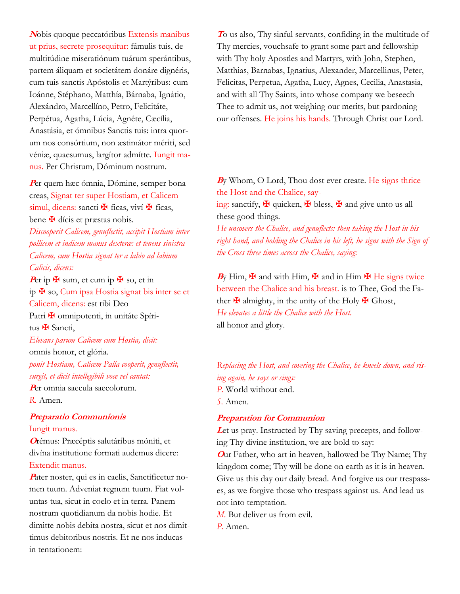**<sup>N</sup>**obis quoque peccatóribus Extensis manibus ut prius, secrete prosequitur: fámulis tuis, de multitúdine miseratiónum tuárum sperántibus, partem áliquam et societátem donáre dignéris, cum tuis sanctis Apóstolis et Martýribus: cum Ioánne, Stéphano, Matthía, Bárnaba, Ignátio, Alexándro, Marcellíno, Petro, Felicitáte, Perpétua, Agatha, Lúcia, Agnéte, Cæcília, Anastásia, et ómnibus Sanctis tuis: intra quorum nos consórtium, non æstimátor mériti, sed véniæ, quaesumus, largítor admítte. Iungit manus. Per Christum, Dóminum nostrum.

**<sup>P</sup>**er quem hæc ómnia, Dómine, semper bona creas, Signat ter super Hostiam, et Calicem simul, dicens: sancti  $\mathbf{\ddot{F}}$  ficas, viví  $\mathbf{\ddot{F}}$  ficas, bene  $\mathbf \#$  dícis et præstas nobis.

*Discooperit Calicem, genuflectit, accipit Hostiam inter pollicem et indicem manus dexteræ: et tenens sinistra Calicem, cum Hostia signat ter a labio ad labium Calicis, dicens:*

Per ip  $\mathbf{\Psi}$  sum, et cum ip  $\mathbf{\Psi}$  so, et in ip ✠ so, Cum ipsa Hostia signat bis inter se et Calicem, dicens: est tibi Deo Patri <del>Y</del> omnipotenti, in unitáte Spíritus **¥** Sancti, *Elevans parum Calicem cum Hostia, dicit:* omnis honor, et glória. *ponit Hostiam, Calicem Palla cooperit, genuflectit, surgit, et dicit intellegibili voce vel cantat:*

**<sup>P</sup>**er omnia saecula saecolorum. *R.* Amen.

## **Preparatio Communionis** Iungit manus.

**<sup>O</sup>**rémus: Præcéptis salutáribus móniti, et divína institutione formati audemus dicere: Extendit manus.

Pater noster, qui es in caelis, Sanctificetur nomen tuum. Adveniat regnum tuum. Fiat voluntas tua, sicut in coelo et in terra. Panem nostrum quotidianum da nobis hodie. Et dimitte nobis debita nostra, sicut et nos dimittimus debitoribus nostris. Et ne nos inducas in tentationem:

**<sup>T</sup>**o us also, Thy sinful servants, confiding in the multitude of Thy mercies, vouchsafe to grant some part and fellowship with Thy holy Apostles and Martyrs, with John, Stephen, Matthias, Barnabas, Ignatius, Alexander, Marcellinus, Peter, Felicitas, Perpetua, Agatha, Lucy, Agnes, Cecilia, Anastasia, and with all Thy Saints, into whose company we beseech Thee to admit us, not weighing our merits, but pardoning our offenses. He joins his hands. Through Christ our Lord.

## **<sup>B</sup>**y Whom, O Lord, Thou dost ever create. He signs thrice the Host and the Chalice, say-

ing: sanctify,  $\mathbf{\Psi}$  quicken,  $\mathbf{\Psi}$  bless,  $\mathbf{\Psi}$  and give unto us all these good things.

*He uncovers the Chalice, and genuflects: then taking the Host in his right hand, and holding the Chalice in his left, he signs with the Sign of the Cross three times across the Chalice, saying:*

By Him,  $\mathbf{\Psi}$  and with Him,  $\mathbf{\Psi}$  and in Him  $\mathbf{\Psi}$  He signs twice between the Chalice and his breast. is to Thee, God the Father  $\mathbf{\Psi}$  almighty, in the unity of the Holy  $\mathbf{\Psi}$  Ghost, *He elevates a little the Chalice with the Host.* all honor and glory.

*Replacing the Host, and covering the Chalice, he kneels down, and rising again, he says or sings: P.* World without end. *S.* Amen.

### **Preparation for Communion**

Let us pray. Instructed by Thy saving precepts, and following Thy divine institution, we are bold to say:

**<sup>O</sup>**ur Father, who art in heaven, hallowed be Thy Name; Thy kingdom come; Thy will be done on earth as it is in heaven. Give us this day our daily bread. And forgive us our trespasses, as we forgive those who trespass against us. And lead us not into temptation.

*M.* But deliver us from evil.

*P.* Amen.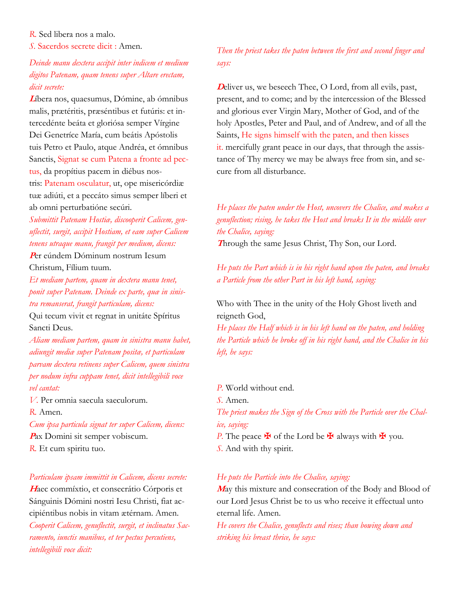*R.* Sed libera nos a malo.

*S.* Sacerdos secrete dicit : Amen.

*Deinde manu dextera accipit inter indicem et medium digitos Patenam, quam tenens super Altare erectam, dicit secrete:*

**<sup>L</sup>**íbera nos, quaesumus, Dómine, ab ómnibus malis, prætéritis, præséntibus et futúris: et intercedénte beáta et gloriósa semper Vírgine Dei Genetríce María, cum beátis Apóstolis tuis Petro et Paulo, atque Andréa, et ómnibus Sanctis, Signat se cum Patena a fronte ad pectus, da propítius pacem in diébus nostris: Patenam osculatur, ut, ope misericórdiæ tuæ adiúti, et a peccáto simus semper líberi et ab omni perturbatióne secúri.

*Submittit Patenam Hostiæ, discooperit Calicem, genuflectit, surgit, accipit Hostiam, et eam super Calicem tenens utraque manu, frangit per medium, dicens:*

**<sup>P</sup>**er eúndem Dóminum nostrum Iesum Christum, Fílium tuum.

*Et mediam partem, quam in dextera manu tenet, ponit super Patenam. Deinde ex parte, quæ in sinistra remanserat, frangit particulam, dicens:*

Qui tecum vivit et regnat in unitáte Spíritus Sancti Deus.

*Aliam mediam partem, quam in sinistra manu habet, adiungit mediæ super Patenam positæ, et particulam parvam dextera retinens super Calicem, quem sinistra per nodum infra cuppam tenet, dicit intellegibili voce vel cantat:*

*V.* Per omnia saecula saeculorum.

*R.* Amen.

*Cum ipsa particula signat ter super Calicem, dicens:*

**<sup>P</sup>**ax Domini sit semper vobiscum. *R.* Et cum spiritu tuo.

*Particulam ipsam immittit in Calicem, dicens secrete:*

**<sup>H</sup>**aec commíxtio, et consecrátio Córporis et Sánguinis Dómini nostri Iesu Christi, fiat accipiéntibus nobis in vitam ætérnam. Amen.

*Cooperit Calicem, genuflectit, surgit, et inclinatus Sacramento, iunctis manibus, et ter pectus percutiens, intellegibili voce dicit:*

*Then the priest takes the paten between the first and second finger and says:*

**D**eliver us, we beseech Thee, O Lord, from all evils, past, present, and to come; and by the intercession of the Blessed and glorious ever Virgin Mary, Mother of God, and of the holy Apostles, Peter and Paul, and of Andrew, and of all the Saints, He signs himself with the paten, and then kisses it. mercifully grant peace in our days, that through the assistance of Thy mercy we may be always free from sin, and secure from all disturbance.

## *He places the paten under the Host, uncovers the Chalice, and makes a genuflection; rising, he takes the Host and breaks It in the middle over the Chalice, saying:*

**<sup>T</sup>**hrough the same Jesus Christ, Thy Son, our Lord.

*He puts the Part which is in his right hand upon the paten, and breaks a Particle from the other Part in his left hand, saying:*

Who with Thee in the unity of the Holy Ghost liveth and reigneth God,

*He places the Half which is in his left hand on the paten, and holding the Particle which he broke off in his right hand, and the Chalice in his left, he says:*

*P.* World without end.

*S.* Amen.

*The priest makes the Sign of the Cross with the Particle over the Chalice, saying:*

*P*. The peace  $\mathbf{\mathbf{\mathbf{\mathsf{F}}}}$  of the Lord be  $\mathbf{\mathbf{\mathsf{F}}}$  always with  $\mathbf{\mathbf{\mathsf{F}}}$  you. *S.* And with thy spirit.

### *He puts the Particle into the Chalice, saying:*

**<sup>M</sup>**ay this mixture and consecration of the Body and Blood of our Lord Jesus Christ be to us who receive it effectual unto eternal life. Amen.

*He covers the Chalice, genuflects and rises; than bowing down and striking his breast thrice, he says:*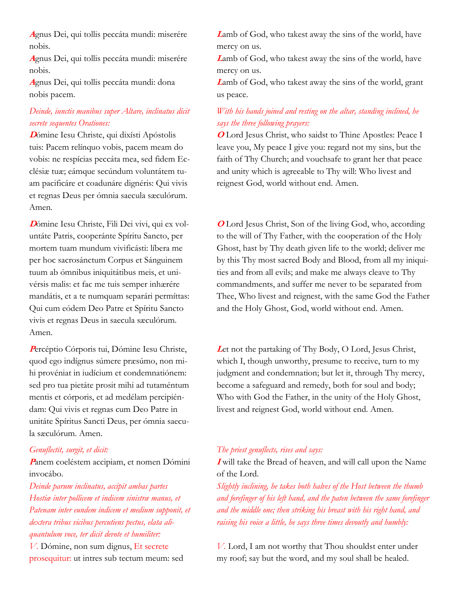**<sup>A</sup>**gnus Dei, qui tollis peccáta mundi: miserére nobis.

**<sup>A</sup>**gnus Dei, qui tollis peccáta mundi: miserére nobis.

**<sup>A</sup>**gnus Dei, qui tollis peccáta mundi: dona nobis pacem.

## *Deinde, iunctis manibus super Altare, inclinatus dicit secrete sequentes Orationes:*

**<sup>D</sup>**ómine Iesu Christe, qui dixísti Apóstolis tuis: Pacem relínquo vobis, pacem meam do vobis: ne respícias peccáta mea, sed fidem Ecclésiæ tuæ; eámque secúndum voluntátem tuam pacificáre et coadunáre dignéris: Qui vivis et regnas Deus per ómnia saecula sæculórum. Amen.

**D**ómine Iesu Christe, Fili Dei vivi, qui ex voluntáte Patris, cooperánte Spíritu Sancto, per mortem tuam mundum vivificásti: líbera me per hoc sacrosánctum Corpus et Sánguinem tuum ab ómnibus iniquitátibus meis, et univérsis malis: et fac me tuis semper inhærére mandátis, et a te numquam separári permíttas: Qui cum eódem Deo Patre et Spíritu Sancto vivis et regnas Deus in saecula sæculórum. Amen.

**<sup>P</sup>**ercéptio Córporis tui, Dómine Iesu Christe, quod ego indígnus súmere præsúmo, non mihi provéniat in iudícium et condemnatiónem: sed pro tua pietáte prosit mihi ad tutaméntum mentis et córporis, et ad medélam percipiéndam: Qui vivis et regnas cum Deo Patre in unitáte Spíritus Sancti Deus, per ómnia saecula sæculórum. Amen.

#### *Genuflectit, surgit, et dicit:*

**<sup>P</sup>**anem coeléstem accipiam, et nomen Dómini invocábo.

*Deinde parum inclinatus, accipit ambas partes Hostiæ inter pollicem et indicem sinistræ manus, et Patenam inter eundem indicem et medium supponit, et dextera tribus vicibus percutiens pectus, elata aliquantulum voce, ter dicit devote et humiliter: V.* Dómine, non sum dignus, Et secrete prosequitur: ut intres sub tectum meum: sed

**<sup>L</sup>**amb of God, who takest away the sins of the world, have mercy on us.

**<sup>L</sup>**amb of God, who takest away the sins of the world, have mercy on us.

**<sup>L</sup>**amb of God, who takest away the sins of the world, grant us peace.

## *With his hands joined and resting on the altar, standing inclined, he says the three following prayers:*

**<sup>O</sup>** Lord Jesus Christ, who saidst to Thine Apostles: Peace I leave you, My peace I give you: regard not my sins, but the faith of Thy Church; and vouchsafe to grant her that peace and unity which is agreeable to Thy will: Who livest and reignest God, world without end. Amen.

**O** Lord Jesus Christ, Son of the living God, who, according to the will of Thy Father, with the cooperation of the Holy Ghost, hast by Thy death given life to the world; deliver me by this Thy most sacred Body and Blood, from all my iniquities and from all evils; and make me always cleave to Thy commandments, and suffer me never to be separated from Thee, Who livest and reignest, with the same God the Father and the Holy Ghost, God, world without end. Amen.

**<sup>L</sup>**et not the partaking of Thy Body, O Lord, Jesus Christ, which I, though unworthy, presume to receive, turn to my judgment and condemnation; but let it, through Thy mercy, become a safeguard and remedy, both for soul and body; Who with God the Father, in the unity of the Holy Ghost, livest and reignest God, world without end. Amen.

### *The priest genuflects, rises and says:*

**I** will take the Bread of heaven, and will call upon the Name of the Lord.

*Slightly inclining, he takes both halves of the Host between the thumb and forefinger of his left hand, and the paten between the same forefinger and the middle one; then striking his breast with his right hand, and raising his voice a little, he says three times devoutly and humbly:*

*V.* Lord, I am not worthy that Thou shouldst enter under my roof; say but the word, and my soul shall be healed.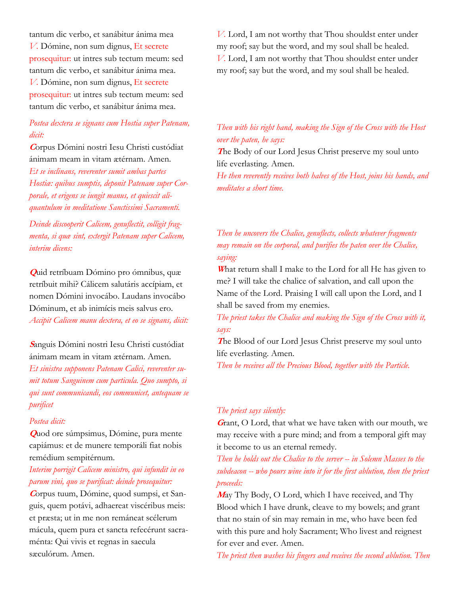tantum dic verbo, et sanábitur ánima mea *V.* Dómine, non sum dignus, Et secrete prosequitur: ut intres sub tectum meum: sed tantum dic verbo, et sanábitur ánima mea. *V.* Dómine, non sum dignus, Et secrete prosequitur: ut intres sub tectum meum: sed tantum dic verbo, et sanábitur ánima mea.

## *Postea dextera se signans cum Hostia super Patenam, dicit:*

**<sup>C</sup>**orpus Dómini nostri Iesu Christi custódiat ánimam meam in vitam ætérnam. Amen. *Et se inclinans, reverenter sumit ambas partes Hostiæ: quibus sumptis, deponit Patenam super Corporale, et erigens se iungit manus, et quiescit aliquantulum in meditatione Sanctissimi Sacramenti.*

*Deinde discooperit Calicem, genuflectit, colligit fragmenta, si quæ sint, extergit Patenam super Calicem, interim dicens:*

**Q**uid retríbuam Dómino pro ómnibus, quæ retríbuit mihi? Cálicem salutáris accípiam, et nomen Dómini invocábo. Laudans invocábo Dóminum, et ab inimícis meis salvus ero. *Accipit Calicem manu dextera, et eo se signans, dicit:*

## **<sup>S</sup>**anguis Dómini nostri Iesu Christi custódiat ánimam meam in vitam ætérnam. Amen.

*Et sinistra supponens Patenam Calici, reverenter sumit totum Sanguinem cum particula. Quo sumpto, si qui sunt communicandi, eos communicet, antequam se purificet*

#### *Postea dicit:*

**Q**uod ore súmpsimus, Dómine, pura mente capiámus: et de munere temporáli fiat nobis remédium sempitérnum.

## *Interim porrigit Calicem ministro, qui infundit in eo parum vini, quo se purificat: deinde prosequitur:*

**C**orpus tuum, Dómine, quod sumpsi, et Sanguis, quem potávi, adhaereat viscéribus meis: et præsta; ut in me non remáneat scélerum mácula, quem pura et sancta refecérunt sacraménta: Qui vivis et regnas in saecula sæculórum. Amen.

*V.* Lord, I am not worthy that Thou shouldst enter under my roof; say but the word, and my soul shall be healed. *V.* Lord, I am not worthy that Thou shouldst enter under my roof; say but the word, and my soul shall be healed.

## *Then with his right hand, making the Sign of the Cross with the Host over the paten, he says:*

**<sup>T</sup>**he Body of our Lord Jesus Christ preserve my soul unto life everlasting. Amen.

*He then reverently receives both halves of the Host, joins his hands, and meditates a short time.*

## *Then he uncovers the Chalice, genuflects, collects whatever fragments may remain on the corporal, and purifies the paten over the Chalice, saying:*

**<sup>W</sup>**hat return shall I make to the Lord for all He has given to me? I will take the chalice of salvation, and call upon the Name of the Lord. Praising I will call upon the Lord, and I shall be saved from my enemies.

## *The priest takes the Chalice and making the Sign of the Cross with it, says:*

**<sup>T</sup>**he Blood of our Lord Jesus Christ preserve my soul unto life everlasting. Amen.

*Then he receives all the Precious Blood, together with the Particle.*

### *The priest says silently:*

**<sup>G</sup>**rant, O Lord, that what we have taken with our mouth, we may receive with a pure mind; and from a temporal gift may it become to us an eternal remedy.

*Then he holds out the Chalice to the server -- in Solemn Masses to the subdeacon -- who pours wine into it for the first ablution, then the priest proceeds:*

**<sup>M</sup>**ay Thy Body, O Lord, which I have received, and Thy Blood which I have drunk, cleave to my bowels; and grant that no stain of sin may remain in me, who have been fed with this pure and holy Sacrament; Who livest and reignest for ever and ever. Amen.

*The priest then washes his fingers and receives the second ablution. Then*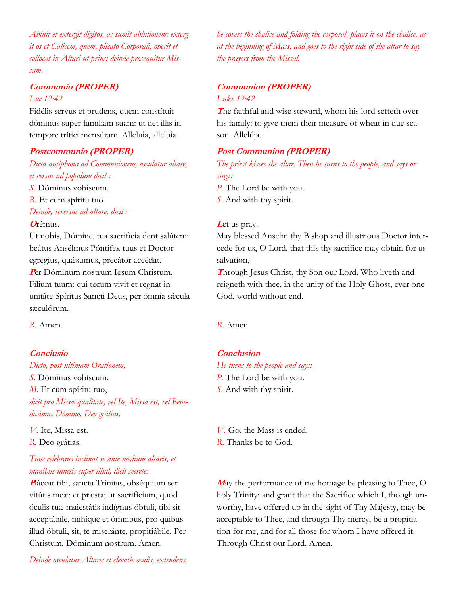*Abluit et extergit digitos, ac sumit ablutionem: extergit os et Calicem, quem, plicato Corporali, operit et collocat in Altari ut prius: deinde prosequitur Missam.*

## **Communio (PROPER)**

### *Luc 12:42*

Fidélis servus et prudens, quem constítuit dóminus super famíliam suam: ut det illis in témpore trítici mensúram. Alleluia, alleluia.

#### **Postcommunio (PROPER)**

*Dicta antiphona ad Communionem, osculatur altare, et versus ad populum dicit :*

*S.* Dóminus vobíscum.

*R.* Et cum spíritu tuo.

*Deinde, reversus ad altare, dicit :*

### **<sup>O</sup>**rémus.

Ut nobis, Dómine, tua sacrifícia dent salútem: beátus Ansélmus Póntifex tuus et Doctor egrégius, quásumus, precátor accédat. Per Dóminum nostrum Iesum Christum,

Fílium tuum: qui tecum vivit et regnat in unitáte Spíritus Sancti Deus, per ómnia sácula sæculórum.

*R.* Amen.

### **Conclusio**

*Dicto, post ultimam Orationem, S.* Dóminus vobíscum. *M.* Et cum spíritu tuo, *dicit pro Missæ qualitate, vel Ite, Missa est, vel Benedicámus Dómino. Deo grátias.*

*V.* Ite, Missa est. *R.* Deo grátias.

## *Tunc celebrans inclinat se ante medium altaris, et manibus iunctis super illud, dicit secrete:*

**P**láceat tibi, sancta Trínitas, obséquium servitútis meæ: et præsta; ut sacrifícium, quod óculis tuæ maiestátis indígnus óbtuli, tibi sit acceptábile, mihíque et ómnibus, pro quibus illud óbtuli, sit, te miseránte, propitiábile. Per Christum, Dóminum nostrum. Amen.

*he covers the chalice and folding the corporal, places it on the chalice, as at the beginning of Mass, and goes to the right side of the altar to say the prayers from the Missal.*

# **Communion (PROPER)**

*Luke 12:42*

**<sup>T</sup>**he faithful and wise steward, whom his lord setteth over his family: to give them their measure of wheat in due season. Allelúja.

### **Post Communion (PROPER)**

*The priest kisses the altar. Then he turns to the people, and says or sings:*

*P.* The Lord be with you. *S.* And with thy spirit.

#### Let us pray.

May blessed Anselm thy Bishop and illustrious Doctor intercede for us, O Lord, that this thy sacrifice may obtain for us salvation,

**<sup>T</sup>**hrough Jesus Christ, thy Son our Lord, Who liveth and reigneth with thee, in the unity of the Holy Ghost, ever one God, world without end.

*R.* Amen

## **Conclusion**

*He turns to the people and says: P.* The Lord be with you. *S.* And with thy spirit.

*V.* Go, the Mass is ended. *R.* Thanks be to God.

**<sup>M</sup>**ay the performance of my homage be pleasing to Thee, O holy Trinity: and grant that the Sacrifice which I, though unworthy, have offered up in the sight of Thy Majesty, may be acceptable to Thee, and through Thy mercy, be a propitiation for me, and for all those for whom I have offered it. Through Christ our Lord. Amen.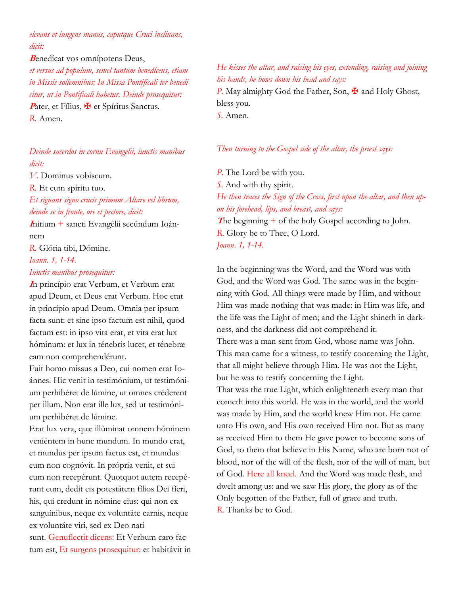*elevans et iungens manus, caputque Cruci inclínans, dicit:*

**<sup>B</sup>**enedícat vos omnípotens Deus, *et versus ad populum, semel tantum benedícens, etiam* 

*in Missis sollemnibus; In Missa Pontificali ter benedicitur, ut in Pontificali habetur. Deinde prosequitur:* Pater, et Fílius,  $\mathbf{\Psi}$  et Spíritus Sanctus. *R.* Amen.

*Deinde sacerdos in cornu Evangelii, iunctis manibus dicit:*

*V.* Dominus vobiscum.

*R.* Et cum spiritu tuo.

*Et signans signo crucis primum Altare vel librum, deinde se in fronte, ore et pectore, dicit:*

**<sup>I</sup>**nitium + sancti Evangélii secúndum Ioánnem

*R.* Glória tibi, Dómine.

## *Ioann. 1, 1-14.*

## *Iunctis manibus prosequitur:*

**<sup>I</sup>**n princípio erat Verbum, et Verbum erat apud Deum, et Deus erat Verbum. Hoc erat in princípio apud Deum. Omnia per ipsum facta sunt: et sine ipso factum est nihil, quod factum est: in ipso vita erat, et vita erat lux hóminum: et lux in ténebris lucet, et ténebræ eam non comprehendérunt.

Fuit homo missus a Deo, cui nomen erat Ioánnes. Hic venit in testimónium, ut testimónium perhibéret de lúmine, ut omnes créderent per illum. Non erat ille lux, sed ut testimónium perhibéret de lúmine.

Erat lux vera, quæ illúminat omnem hóminem veniéntem in hunc mundum. In mundo erat, et mundus per ipsum factus est, et mundus eum non cognóvit. In própria venit, et sui eum non recepérunt. Quotquot autem recepérunt eum, dedit eis potestátem fílios Dei fíeri, his, qui credunt in nómine eius: qui non ex sanguínibus, neque ex voluntáte carnis, neque ex voluntáte viri, sed ex Deo nati sunt. Genuflectit dicens: Et Verbum caro factum est, Et surgens prosequitur: et habitávit in

## *He kisses the altar, and raising his eyes, extending, raising and joining his hands, he bows down his head and says:*

*P.* May almighty God the Father, Son,  $\mathbf{\nabla}$  and Holy Ghost, bless you. *S.* Amen.

*Then turning to the Gospel side of the altar, the priest says:*

*P.* The Lord be with you. *S.* And with thy spirit. *He then traces the Sign of the Cross, first upon the altar, and then upon his forehead, lips, and breast, and says:* **<sup>T</sup>**he beginning + of the holy Gospel according to John. *R.* Glory be to Thee, O Lord.

*Joann. 1, 1-14.*

In the beginning was the Word, and the Word was with God, and the Word was God. The same was in the beginning with God. All things were made by Him, and without Him was made nothing that was made: in Him was life, and the life was the Light of men; and the Light shineth in darkness, and the darkness did not comprehend it.

There was a man sent from God, whose name was John. This man came for a witness, to testify concerning the Light, that all might believe through Him. He was not the Light, but he was to testify concerning the Light.

That was the true Light, which enlighteneth every man that cometh into this world. He was in the world, and the world was made by Him, and the world knew Him not. He came unto His own, and His own received Him not. But as many as received Him to them He gave power to become sons of God, to them that believe in His Name, who are born not of blood, nor of the will of the flesh, nor of the will of man, but of God. Here all kneel. And the Word was made flesh, and dwelt among us: and we saw His glory, the glory as of the Only begotten of the Father, full of grace and truth. *R.* Thanks be to God.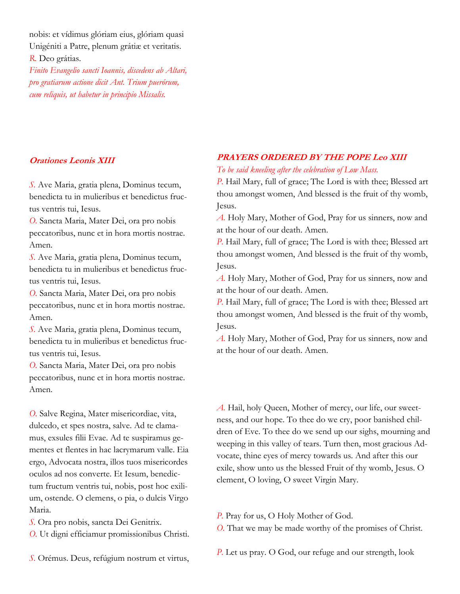nobis: et vídimus glóriam eius, glóriam quasi Unigéniti a Patre, plenum grátiæ et veritatis.

*R.* Deo grátias.

*Finito Evangelio sancti Ioannis, discedens ab Altari, pro gratiarum actione dicit Ant. Trium puerórum, cum reliquis, ut habetur in principio Missalis.*

## **Orationes Leonis XIII**

*S.* Ave Maria, gratia plena, Dominus tecum, benedicta tu in mulieribus et benedictus fructus ventris tui, Iesus.

*O.* Sancta Maria, Mater Dei, ora pro nobis peccatoribus, nunc et in hora mortis nostrae. Amen.

*S.* Ave Maria, gratia plena, Dominus tecum, benedicta tu in mulieribus et benedictus fructus ventris tui, Iesus.

*O.* Sancta Maria, Mater Dei, ora pro nobis peccatoribus, nunc et in hora mortis nostrae. Amen.

*S.* Ave Maria, gratia plena, Dominus tecum, benedicta tu in mulieribus et benedictus fructus ventris tui, Iesus.

*O.* Sancta Maria, Mater Dei, ora pro nobis peccatoribus, nunc et in hora mortis nostrae. Amen.

*O.* Salve Regina, Mater misericordiae, vita, dulcedo, et spes nostra, salve. Ad te clamamus, exsules filii Evae. Ad te suspiramus gementes et flentes in hac lacrymarum valle. Eia ergo, Advocata nostra, illos tuos misericordes oculos ad nos converte. Et Iesum, benedictum fructum ventris tui, nobis, post hoc exilium, ostende. O clemens, o pia, o dulcis Virgo Maria.

*S.* Ora pro nobis, sancta Dei Genitrix.

*O.* Ut digni efficiamur promissionibus Christi.

*S.* Orémus. Deus, refúgium nostrum et virtus,

## **PRAYERS ORDERED BY THE POPE Leo XIII**

*To be said kneeling after the celebration of Low Mass.*

*P.* Hail Mary, full of grace; The Lord is with thee; Blessed art thou amongst women, And blessed is the fruit of thy womb, Jesus.

*A.* Holy Mary, Mother of God, Pray for us sinners, now and at the hour of our death. Amen.

*P.* Hail Mary, full of grace; The Lord is with thee; Blessed art thou amongst women, And blessed is the fruit of thy womb, Jesus.

*A.* Holy Mary, Mother of God, Pray for us sinners, now and at the hour of our death. Amen.

*P.* Hail Mary, full of grace; The Lord is with thee; Blessed art thou amongst women, And blessed is the fruit of thy womb, Jesus.

*A.* Holy Mary, Mother of God, Pray for us sinners, now and at the hour of our death. Amen.

*A.* Hail, holy Queen, Mother of mercy, our life, our sweetness, and our hope. To thee do we cry, poor banished children of Eve. To thee do we send up our sighs, mourning and weeping in this valley of tears. Turn then, most gracious Advocate, thine eyes of mercy towards us. And after this our exile, show unto us the blessed Fruit of thy womb, Jesus. O clement, O loving, O sweet Virgin Mary.

*P.* Pray for us, O Holy Mother of God.

*O.* That we may be made worthy of the promises of Christ.

*P.* Let us pray. O God, our refuge and our strength, look